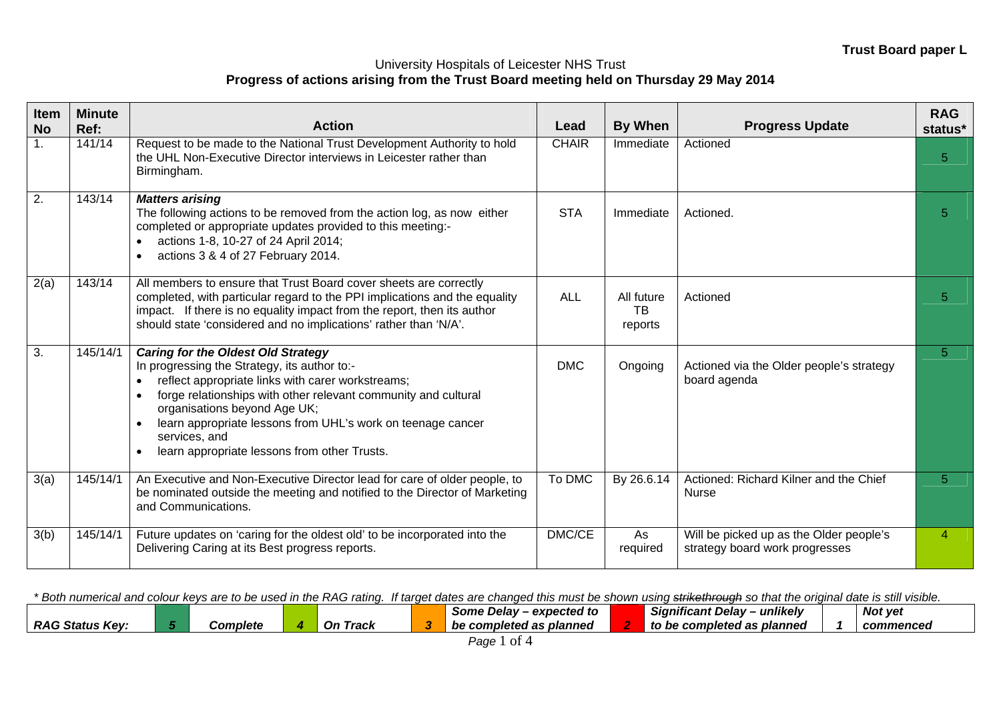## University Hospitals of Leicester NHS Trust **Progress of actions arising from the Trust Board meeting held on Thursday 29 May 2014**

| Item<br><b>No</b> | <b>Minute</b><br>Ref: | <b>Action</b>                                                                                                                                                                                                                                                                                                                                                                    | Lead         | By When                     | <b>Progress Update</b>                                                    | <b>RAG</b><br>status* |
|-------------------|-----------------------|----------------------------------------------------------------------------------------------------------------------------------------------------------------------------------------------------------------------------------------------------------------------------------------------------------------------------------------------------------------------------------|--------------|-----------------------------|---------------------------------------------------------------------------|-----------------------|
| 1.                | 141/14                | Request to be made to the National Trust Development Authority to hold<br>the UHL Non-Executive Director interviews in Leicester rather than<br>Birmingham.                                                                                                                                                                                                                      | <b>CHAIR</b> | Immediate                   | Actioned                                                                  | 5                     |
| 2.                | 143/14                | <b>Matters arising</b><br>The following actions to be removed from the action log, as now either<br>completed or appropriate updates provided to this meeting:-<br>actions 1-8, 10-27 of 24 April 2014;<br>actions 3 & 4 of 27 February 2014.                                                                                                                                    | <b>STA</b>   | Immediate                   | Actioned.                                                                 | 5.                    |
| 2(a)              | 143/14                | All members to ensure that Trust Board cover sheets are correctly<br>completed, with particular regard to the PPI implications and the equality<br>impact. If there is no equality impact from the report, then its author<br>should state 'considered and no implications' rather than 'N/A'.                                                                                   | <b>ALL</b>   | All future<br>TB<br>reports | Actioned                                                                  | 5.                    |
| $\overline{3}$ .  | 145/14/1              | <b>Caring for the Oldest Old Strategy</b><br>In progressing the Strategy, its author to:-<br>reflect appropriate links with carer workstreams;<br>forge relationships with other relevant community and cultural<br>organisations beyond Age UK;<br>learn appropriate lessons from UHL's work on teenage cancer<br>services, and<br>learn appropriate lessons from other Trusts. | <b>DMC</b>   | Ongoing                     | Actioned via the Older people's strategy<br>board agenda                  | 5                     |
| 3(a)              | 145/14/1              | An Executive and Non-Executive Director lead for care of older people, to<br>be nominated outside the meeting and notified to the Director of Marketing<br>and Communications.                                                                                                                                                                                                   | To DMC       | By 26.6.14                  | Actioned: Richard Kilner and the Chief<br><b>Nurse</b>                    | 5.                    |
| 3(b)              | 145/14/1              | Future updates on 'caring for the oldest old' to be incorporated into the<br>Delivering Caring at its Best progress reports.                                                                                                                                                                                                                                                     | DMC/CE       | As<br>required              | Will be picked up as the Older people's<br>strategy board work progresses | 4                     |

*\* Both numerical and colour keys are to be used in the RAG rating. If target dates are changed this must be shown using strikethrough so that the original date is still visible.* 

|                           |          |                    | Some<br>- expected to<br>Delav                         | ---<br><b>Significant Delay</b><br>unlikelv | Not yet   |
|---------------------------|----------|--------------------|--------------------------------------------------------|---------------------------------------------|-----------|
| RAG<br>` Status<br>. Kev: | Complete | <b>On</b><br>Track | ് <i>- completed</i> as a<br>l as planned<br><b>ne</b> | ; planned<br>: completed as<br>to be        | commenced |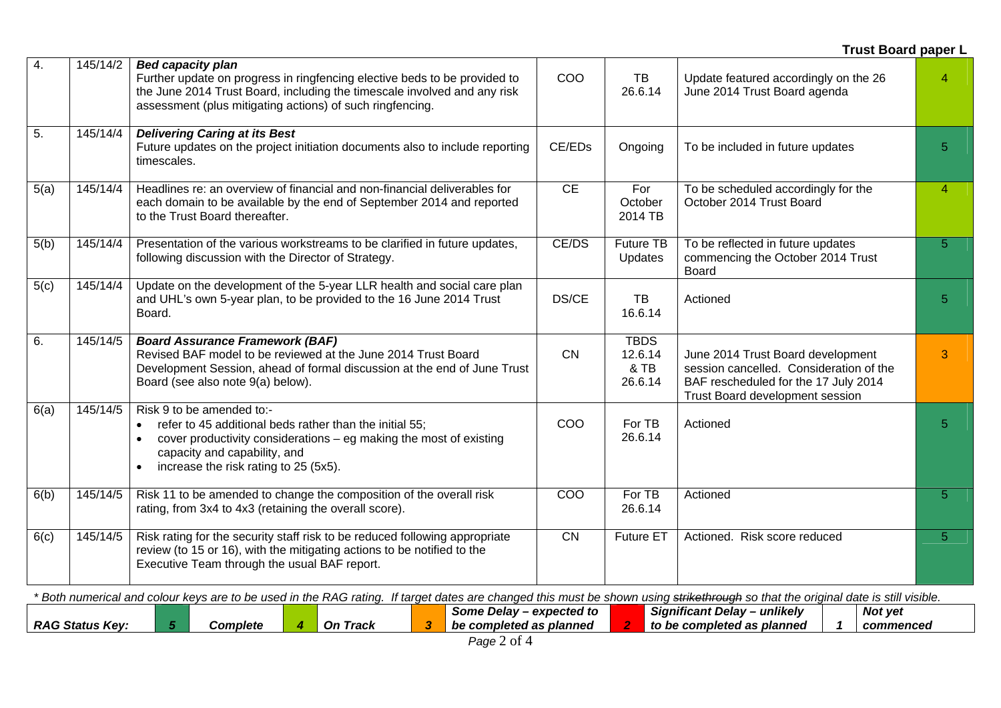|      |                        |                                                                                                                                                                                                                                                    |                 |                                           | <b>Trust Board paper L</b>                                                                                                                              |                |
|------|------------------------|----------------------------------------------------------------------------------------------------------------------------------------------------------------------------------------------------------------------------------------------------|-----------------|-------------------------------------------|---------------------------------------------------------------------------------------------------------------------------------------------------------|----------------|
| 4.   | 145/14/2               | <b>Bed capacity plan</b><br>Further update on progress in ringfencing elective beds to be provided to<br>the June 2014 Trust Board, including the timescale involved and any risk<br>assessment (plus mitigating actions) of such ringfencing.     | COO             | <b>TB</b><br>26.6.14                      | Update featured accordingly on the 26<br>June 2014 Trust Board agenda                                                                                   | $\overline{4}$ |
| 5.   | 145/14/4               | <b>Delivering Caring at its Best</b><br>Future updates on the project initiation documents also to include reporting<br>timescales.                                                                                                                | CE/EDs          | Ongoing                                   | To be included in future updates                                                                                                                        | $\overline{5}$ |
| 5(a) | 145/14/4               | Headlines re: an overview of financial and non-financial deliverables for<br>each domain to be available by the end of September 2014 and reported<br>to the Trust Board thereafter.                                                               | <b>CE</b>       | For<br>October<br>2014 TB                 | To be scheduled accordingly for the<br>October 2014 Trust Board                                                                                         | $\overline{4}$ |
| 5(b) | 145/14/4               | Presentation of the various workstreams to be clarified in future updates,<br>following discussion with the Director of Strategy.                                                                                                                  | CE/DS           | <b>Future TB</b><br>Updates               | To be reflected in future updates<br>commencing the October 2014 Trust<br><b>Board</b>                                                                  | 5              |
| 5(c) | 145/14/4               | Update on the development of the 5-year LLR health and social care plan<br>and UHL's own 5-year plan, to be provided to the 16 June 2014 Trust<br>Board.                                                                                           | DS/CE           | <b>TB</b><br>16.6.14                      | Actioned                                                                                                                                                | 5              |
| 6.   | 145/14/5               | <b>Board Assurance Framework (BAF)</b><br>Revised BAF model to be reviewed at the June 2014 Trust Board<br>Development Session, ahead of formal discussion at the end of June Trust<br>Board (see also note 9(a) below).                           | <b>CN</b>       | <b>TBDS</b><br>12.6.14<br>& TB<br>26.6.14 | June 2014 Trust Board development<br>session cancelled. Consideration of the<br>BAF rescheduled for the 17 July 2014<br>Trust Board development session | 3              |
| 6(a) | 145/14/5               | Risk 9 to be amended to:-<br>refer to 45 additional beds rather than the initial 55;<br>$\bullet$<br>cover productivity considerations $-$ eg making the most of existing<br>capacity and capability, and<br>increase the risk rating to 25 (5x5). | COO             | For TB<br>26.6.14                         | Actioned                                                                                                                                                | 5              |
| 6(b) | 145/14/5               | Risk 11 to be amended to change the composition of the overall risk<br>rating, from 3x4 to 4x3 (retaining the overall score).                                                                                                                      | COO             | $\overline{For}$ TB<br>26.6.14            | Actioned                                                                                                                                                | $\overline{5}$ |
| 6(c) | 145/14/5               | Risk rating for the security staff risk to be reduced following appropriate<br>review (to 15 or 16), with the mitigating actions to be notified to the<br>Executive Team through the usual BAF report.                                             | $\overline{CN}$ | <b>Future ET</b>                          | Actioned. Risk score reduced                                                                                                                            | 5              |
|      |                        | * Both numerical and colour keys are to be used in the RAG rating. If target dates are changed this must be shown using strikethrough so that the original date is still visible.                                                                  |                 |                                           |                                                                                                                                                         |                |
|      | <b>RAG Status Key:</b> | Some Delay - expected to<br>5<br><b>On Track</b><br>3<br>be completed as planned<br><b>Complete</b><br>4                                                                                                                                           |                 |                                           | <b>Significant Delay - unlikely</b><br>Not yet<br>to be completed as planned<br>commenced<br>$\mathbf{1}$                                               |                |

*Page* 2 of 4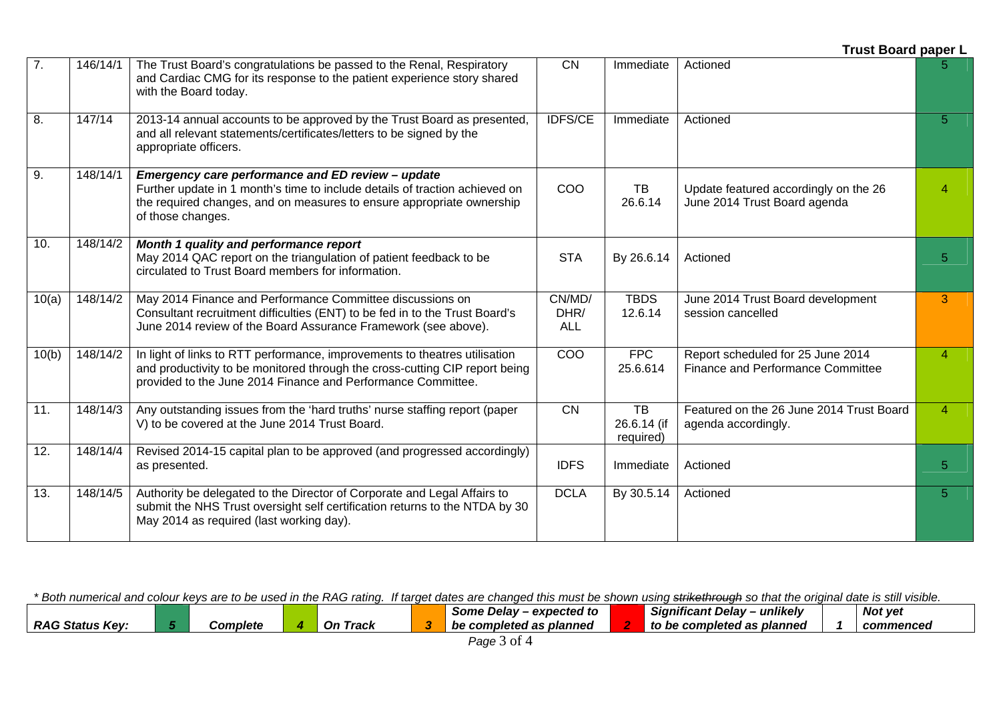**Trust Board paper L** 

| $\overline{7}$ . | 146/14/1 | The Trust Board's congratulations be passed to the Renal, Respiratory<br>and Cardiac CMG for its response to the patient experience story shared<br>with the Board today.                                                      | $\overline{CN}$              | Immediate                                   | Actioned                                                               |   |
|------------------|----------|--------------------------------------------------------------------------------------------------------------------------------------------------------------------------------------------------------------------------------|------------------------------|---------------------------------------------|------------------------------------------------------------------------|---|
| 8.               | 147/14   | 2013-14 annual accounts to be approved by the Trust Board as presented,<br>and all relevant statements/certificates/letters to be signed by the<br>appropriate officers.                                                       | <b>IDFS/CE</b>               | Immediate                                   | Actioned                                                               | 5 |
| 9.               | 148/14/1 | Emergency care performance and ED review - update<br>Further update in 1 month's time to include details of traction achieved on<br>the required changes, and on measures to ensure appropriate ownership<br>of those changes. | COO                          | TB<br>26.6.14                               | Update featured accordingly on the 26<br>June 2014 Trust Board agenda  | Z |
| 10.              | 148/14/2 | Month 1 quality and performance report<br>May 2014 QAC report on the triangulation of patient feedback to be<br>circulated to Trust Board members for information.                                                             | <b>STA</b>                   | By 26.6.14                                  | Actioned                                                               | 5 |
| 10(a)            | 148/14/2 | May 2014 Finance and Performance Committee discussions on<br>Consultant recruitment difficulties (ENT) to be fed in to the Trust Board's<br>June 2014 review of the Board Assurance Framework (see above).                     | CN/MD/<br>DHR/<br><b>ALL</b> | <b>TBDS</b><br>12.6.14                      | June 2014 Trust Board development<br>session cancelled                 | 3 |
| 10(b)            | 148/14/2 | In light of links to RTT performance, improvements to theatres utilisation<br>and productivity to be monitored through the cross-cutting CIP report being<br>provided to the June 2014 Finance and Performance Committee.      | COO                          | <b>FPC</b><br>25.6.614                      | Report scheduled for 25 June 2014<br>Finance and Performance Committee | Δ |
| 11.              | 148/14/3 | Any outstanding issues from the 'hard truths' nurse staffing report (paper<br>V) to be covered at the June 2014 Trust Board.                                                                                                   | $\overline{CN}$              | $\overline{TB}$<br>26.6.14 (if<br>required) | Featured on the 26 June 2014 Trust Board<br>agenda accordingly.        | 4 |
| 12.              | 148/14/4 | Revised 2014-15 capital plan to be approved (and progressed accordingly)<br>as presented.                                                                                                                                      | <b>IDFS</b>                  | Immediate                                   | Actioned                                                               | 5 |
| 13.              | 148/14/5 | Authority be delegated to the Director of Corporate and Legal Affairs to<br>submit the NHS Trust oversight self certification returns to the NTDA by 30<br>May 2014 as required (last working day).                            | <b>DCLA</b>                  | By 30.5.14                                  | Actioned                                                               | 5 |

*\* Both numerical and colour keys are to be used in the RAG rating. If target dates are changed this must be shown using strikethrough so that the original date is still visible.* 

|                             |          |             | Some<br>– expected to<br>Delav    | unlikely<br><b>Significant</b><br>Delav | Not yet   |
|-----------------------------|----------|-------------|-----------------------------------|-----------------------------------------|-----------|
| <b>RAG Status</b><br>. Kev: | Complete | On<br>Track | completed as planned<br><b>DE</b> | : planned<br>ecompleted as !<br>to be   | commenced |